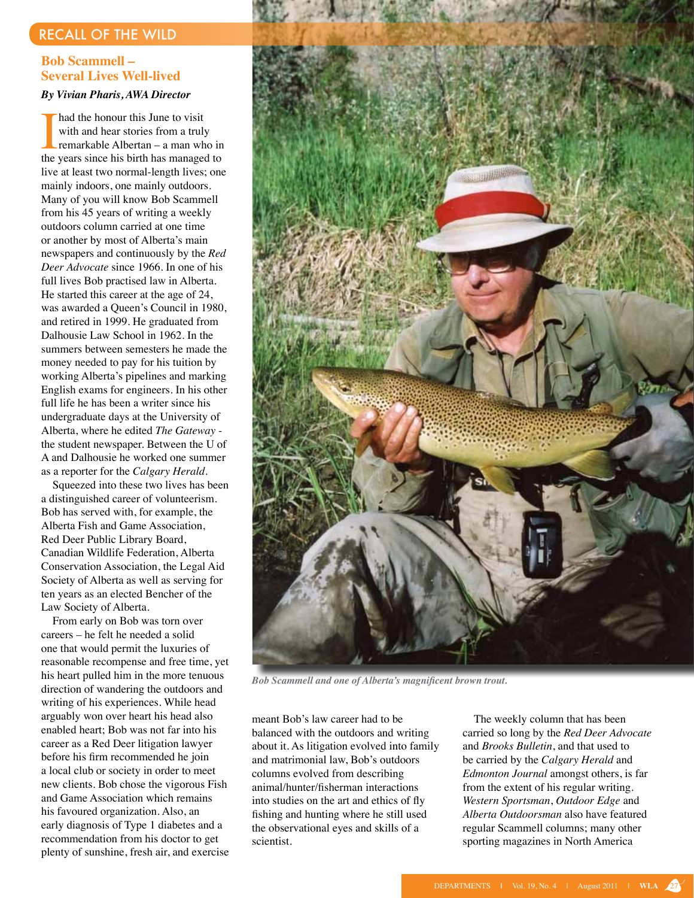## recall of the wild

## **Bob Scammell – Several Lives Well-lived**

## *By Vivian Pharis, AWA Director*

I had the honour this June to visit<br>with and hear stories from a truly<br>remarkable Albertan – a man who in<br>the years since his birth has managed to had the honour this June to visit with and hear stories from a truly remarkable Albertan – a man who in live at least two normal-length lives; one mainly indoors, one mainly outdoors. Many of you will know Bob Scammell from his 45 years of writing a weekly outdoors column carried at one time or another by most of Alberta's main newspapers and continuously by the *Red Deer Advocate* since 1966. In one of his full lives Bob practised law in Alberta. He started this career at the age of 24, was awarded a Queen's Council in 1980, and retired in 1999. He graduated from Dalhousie Law School in 1962. In the summers between semesters he made the money needed to pay for his tuition by working Alberta's pipelines and marking English exams for engineers. In his other full life he has been a writer since his undergraduate days at the University of Alberta, where he edited *The Gateway* the student newspaper. Between the U of A and Dalhousie he worked one summer as a reporter for the *Calgary Herald*.

 Squeezed into these two lives has been a distinguished career of volunteerism. Bob has served with, for example, the Alberta Fish and Game Association, Red Deer Public Library Board, Canadian Wildlife Federation, Alberta Conservation Association, the Legal Aid Society of Alberta as well as serving for ten years as an elected Bencher of the Law Society of Alberta.

 From early on Bob was torn over careers – he felt he needed a solid one that would permit the luxuries of reasonable recompense and free time, yet his heart pulled him in the more tenuous direction of wandering the outdoors and writing of his experiences. While head arguably won over heart his head also enabled heart; Bob was not far into his career as a Red Deer litigation lawyer before his firm recommended he join a local club or society in order to meet new clients. Bob chose the vigorous Fish and Game Association which remains his favoured organization. Also, an early diagnosis of Type 1 diabetes and a recommendation from his doctor to get plenty of sunshine, fresh air, and exercise



*Bob Scammell and one of Alberta's magnificent brown trout.* 

meant Bob's law career had to be balanced with the outdoors and writing about it. As litigation evolved into family and matrimonial law, Bob's outdoors columns evolved from describing animal/hunter/fisherman interactions into studies on the art and ethics of fly fishing and hunting where he still used the observational eyes and skills of a scientist.

 The weekly column that has been carried so long by the *Red Deer Advocate* and *Brooks Bulletin*, and that used to be carried by the *Calgary Herald* and *Edmonton Journal* amongst others, is far from the extent of his regular writing. *Western Sportsman*, *Outdoor Edge* and *Alberta Outdoorsman* also have featured regular Scammell columns; many other sporting magazines in North America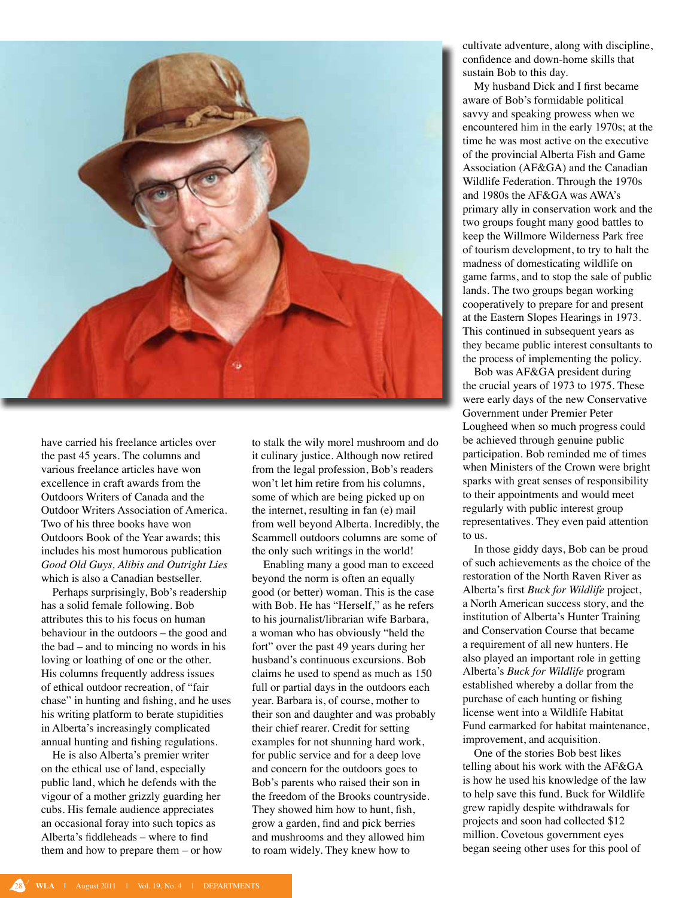

have carried his freelance articles over the past 45 years. The columns and various freelance articles have won excellence in craft awards from the Outdoors Writers of Canada and the Outdoor Writers Association of America. Two of his three books have won Outdoors Book of the Year awards; this includes his most humorous publication *Good Old Guys, Alibis and Outright Lies* which is also a Canadian bestseller.

Perhaps surprisingly, Bob's readership has a solid female following. Bob attributes this to his focus on human behaviour in the outdoors – the good and the bad – and to mincing no words in his loving or loathing of one or the other. His columns frequently address issues of ethical outdoor recreation, of "fair chase" in hunting and fishing, and he uses his writing platform to berate stupidities in Alberta's increasingly complicated annual hunting and fishing regulations.

He is also Alberta's premier writer on the ethical use of land, especially public land, which he defends with the vigour of a mother grizzly guarding her cubs. His female audience appreciates an occasional foray into such topics as Alberta's fiddleheads – where to find them and how to prepare them – or how to stalk the wily morel mushroom and do it culinary justice. Although now retired from the legal profession, Bob's readers won't let him retire from his columns, some of which are being picked up on the internet, resulting in fan (e) mail from well beyond Alberta. Incredibly, the Scammell outdoors columns are some of the only such writings in the world!

 Enabling many a good man to exceed beyond the norm is often an equally good (or better) woman. This is the case with Bob. He has "Herself," as he refers to his journalist/librarian wife Barbara, a woman who has obviously "held the fort" over the past 49 years during her husband's continuous excursions. Bob claims he used to spend as much as 150 full or partial days in the outdoors each year. Barbara is, of course, mother to their son and daughter and was probably their chief rearer. Credit for setting examples for not shunning hard work, for public service and for a deep love and concern for the outdoors goes to Bob's parents who raised their son in the freedom of the Brooks countryside. They showed him how to hunt, fish, grow a garden, find and pick berries and mushrooms and they allowed him to roam widely. They knew how to

cultivate adventure, along with discipline, confidence and down-home skills that sustain Bob to this day.

My husband Dick and I first became aware of Bob's formidable political savvy and speaking prowess when we encountered him in the early 1970s; at the time he was most active on the executive of the provincial Alberta Fish and Game Association (AF&GA) and the Canadian Wildlife Federation. Through the 1970s and 1980s the AF&GA was AWA's primary ally in conservation work and the two groups fought many good battles to keep the Willmore Wilderness Park free of tourism development, to try to halt the madness of domesticating wildlife on game farms, and to stop the sale of public lands. The two groups began working cooperatively to prepare for and present at the Eastern Slopes Hearings in 1973. This continued in subsequent years as they became public interest consultants to the process of implementing the policy.

 Bob was AF&GA president during the crucial years of 1973 to 1975. These were early days of the new Conservative Government under Premier Peter Lougheed when so much progress could be achieved through genuine public participation. Bob reminded me of times when Ministers of the Crown were bright sparks with great senses of responsibility to their appointments and would meet regularly with public interest group representatives. They even paid attention to us.

 In those giddy days, Bob can be proud of such achievements as the choice of the restoration of the North Raven River as Alberta's first *Buck for Wildlife* project, a North American success story, and the institution of Alberta's Hunter Training and Conservation Course that became a requirement of all new hunters. He also played an important role in getting Alberta's *Buck for Wildlife* program established whereby a dollar from the purchase of each hunting or fishing license went into a Wildlife Habitat Fund earmarked for habitat maintenance, improvement, and acquisition.

One of the stories Bob best likes telling about his work with the AF&GA is how he used his knowledge of the law to help save this fund. Buck for Wildlife grew rapidly despite withdrawals for projects and soon had collected \$12 million. Covetous government eyes began seeing other uses for this pool of